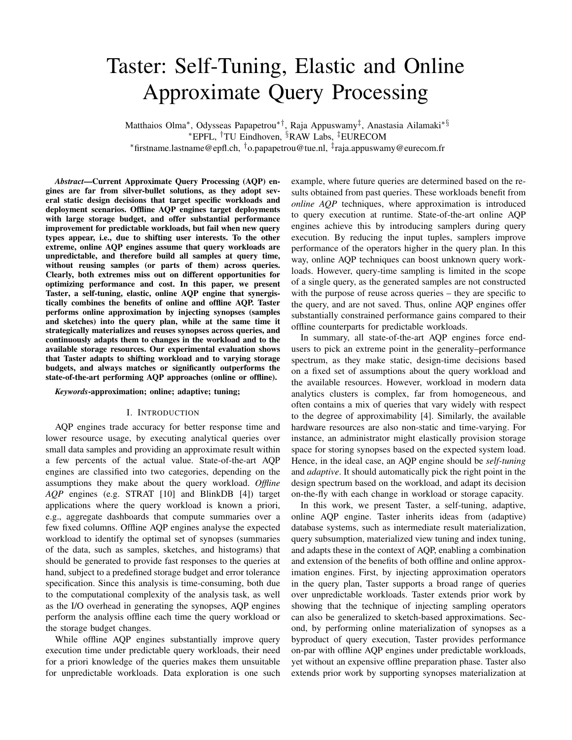# Taster: Self-Tuning, Elastic and Online Approximate Query Processing

Matthaios Olma<sup>∗</sup> , Odysseas Papapetrou∗†, Raja Appuswamy‡ , Anastasia Ailamaki∗§ <sup>∗</sup>EPFL, †TU Eindhoven, §RAW Labs, ‡EURECOM <sup>∗</sup>firstname.lastname@epfl.ch, †o.papapetrou@tue.nl, ‡ raja.appuswamy@eurecom.fr

*Abstract*—Current Approximate Query Processing (AQP) engines are far from silver-bullet solutions, as they adopt several static design decisions that target specific workloads and deployment scenarios. Offline AQP engines target deployments with large storage budget, and offer substantial performance improvement for predictable workloads, but fail when new query types appear, i.e., due to shifting user interests. To the other extreme, online AQP engines assume that query workloads are unpredictable, and therefore build all samples at query time, without reusing samples (or parts of them) across queries. Clearly, both extremes miss out on different opportunities for optimizing performance and cost. In this paper, we present Taster, a self-tuning, elastic, online AQP engine that synergistically combines the benefits of online and offline AQP. Taster performs online approximation by injecting synopses (samples and sketches) into the query plan, while at the same time it strategically materializes and reuses synopses across queries, and continuously adapts them to changes in the workload and to the available storage resources. Our experimental evaluation shows that Taster adapts to shifting workload and to varying storage budgets, and always matches or significantly outperforms the state-of-the-art performing AQP approaches (online or offline).

#### *Keywords*-approximation; online; adaptive; tuning;

## I. INTRODUCTION

AQP engines trade accuracy for better response time and lower resource usage, by executing analytical queries over small data samples and providing an approximate result within a few percents of the actual value. State-of-the-art AQP engines are classified into two categories, depending on the assumptions they make about the query workload. *Offline AQP* engines (e.g. STRAT [10] and BlinkDB [4]) target applications where the query workload is known a priori, e.g., aggregate dashboards that compute summaries over a few fixed columns. Offline AQP engines analyse the expected workload to identify the optimal set of synopses (summaries of the data, such as samples, sketches, and histograms) that should be generated to provide fast responses to the queries at hand, subject to a predefined storage budget and error tolerance specification. Since this analysis is time-consuming, both due to the computational complexity of the analysis task, as well as the I/O overhead in generating the synopses, AQP engines perform the analysis offline each time the query workload or the storage budget changes.

While offline AQP engines substantially improve query execution time under predictable query workloads, their need for a priori knowledge of the queries makes them unsuitable for unpredictable workloads. Data exploration is one such example, where future queries are determined based on the results obtained from past queries. These workloads benefit from *online AQP* techniques, where approximation is introduced to query execution at runtime. State-of-the-art online AQP engines achieve this by introducing samplers during query execution. By reducing the input tuples, samplers improve performance of the operators higher in the query plan. In this way, online AQP techniques can boost unknown query workloads. However, query-time sampling is limited in the scope of a single query, as the generated samples are not constructed with the purpose of reuse across queries – they are specific to the query, and are not saved. Thus, online AQP engines offer substantially constrained performance gains compared to their offline counterparts for predictable workloads.

In summary, all state-of-the-art AQP engines force endusers to pick an extreme point in the generality–performance spectrum, as they make static, design-time decisions based on a fixed set of assumptions about the query workload and the available resources. However, workload in modern data analytics clusters is complex, far from homogeneous, and often contains a mix of queries that vary widely with respect to the degree of approximability [4]. Similarly, the available hardware resources are also non-static and time-varying. For instance, an administrator might elastically provision storage space for storing synopses based on the expected system load. Hence, in the ideal case, an AQP engine should be *self-tuning* and *adaptive*. It should automatically pick the right point in the design spectrum based on the workload, and adapt its decision on-the-fly with each change in workload or storage capacity.

In this work, we present Taster, a self-tuning, adaptive, online AQP engine. Taster inherits ideas from (adaptive) database systems, such as intermediate result materialization, query subsumption, materialized view tuning and index tuning, and adapts these in the context of AQP, enabling a combination and extension of the benefits of both offline and online approximation engines. First, by injecting approximation operators in the query plan, Taster supports a broad range of queries over unpredictable workloads. Taster extends prior work by showing that the technique of injecting sampling operators can also be generalized to sketch-based approximations. Second, by performing online materialization of synopses as a byproduct of query execution, Taster provides performance on-par with offline AQP engines under predictable workloads, yet without an expensive offline preparation phase. Taster also extends prior work by supporting synopses materialization at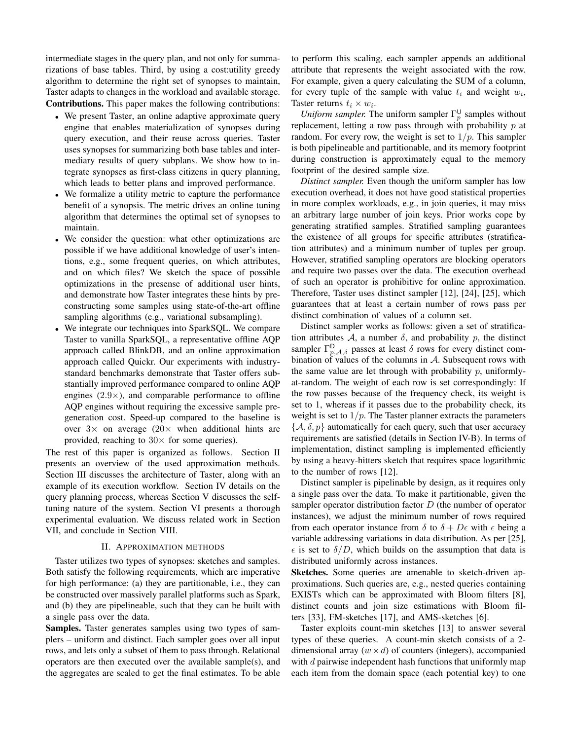intermediate stages in the query plan, and not only for summarizations of base tables. Third, by using a cost:utility greedy algorithm to determine the right set of synopses to maintain, Taster adapts to changes in the workload and available storage. Contributions. This paper makes the following contributions:

- We present Taster, an online adaptive approximate query engine that enables materialization of synopses during query execution, and their reuse across queries. Taster uses synopses for summarizing both base tables and intermediary results of query subplans. We show how to integrate synopses as first-class citizens in query planning, which leads to better plans and improved performance.
- We formalize a utility metric to capture the performance benefit of a synopsis. The metric drives an online tuning algorithm that determines the optimal set of synopses to maintain.
- We consider the question: what other optimizations are possible if we have additional knowledge of user's intentions, e.g., some frequent queries, on which attributes, and on which files? We sketch the space of possible optimizations in the presense of additional user hints, and demonstrate how Taster integrates these hints by preconstructing some samples using state-of-the-art offline sampling algorithms (e.g., variational subsampling).
- We integrate our techniques into SparkSQL. We compare Taster to vanilla SparkSQL, a representative offline AQP approach called BlinkDB, and an online approximation approach called Quickr. Our experiments with industrystandard benchmarks demonstrate that Taster offers substantially improved performance compared to online AQP engines  $(2.9\times)$ , and comparable performance to offline AQP engines without requiring the excessive sample pregeneration cost. Speed-up compared to the baseline is over  $3 \times$  on average  $(20 \times$  when additional hints are provided, reaching to  $30 \times$  for some queries).

The rest of this paper is organized as follows. Section II presents an overview of the used approximation methods. Section III discusses the architecture of Taster, along with an example of its execution workflow. Section IV details on the query planning process, whereas Section V discusses the selftuning nature of the system. Section VI presents a thorough experimental evaluation. We discuss related work in Section VII, and conclude in Section VIII.

## II. APPROXIMATION METHODS

Taster utilizes two types of synopses: sketches and samples. Both satisfy the following requirements, which are imperative for high performance: (a) they are partitionable, i.e., they can be constructed over massively parallel platforms such as Spark, and (b) they are pipelineable, such that they can be built with a single pass over the data.

Samples. Taster generates samples using two types of samplers – uniform and distinct. Each sampler goes over all input rows, and lets only a subset of them to pass through. Relational operators are then executed over the available sample(s), and the aggregates are scaled to get the final estimates. To be able to perform this scaling, each sampler appends an additional attribute that represents the weight associated with the row. For example, given a query calculating the SUM of a column, for every tuple of the sample with value  $t_i$  and weight  $w_i$ , Taster returns  $t_i \times w_i$ .

*Uniform sampler.* The uniform sampler  $\Gamma_p^{\text{U}}$  samples without replacement, letting a row pass through with probability  $p$  at random. For every row, the weight is set to  $1/p$ . This sampler is both pipelineable and partitionable, and its memory footprint during construction is approximately equal to the memory footprint of the desired sample size.

*Distinct sampler.* Even though the uniform sampler has low execution overhead, it does not have good statistical properties in more complex workloads, e.g., in join queries, it may miss an arbitrary large number of join keys. Prior works cope by generating stratified samples. Stratified sampling guarantees the existence of all groups for specific attributes (stratification attributes) and a minimum number of tuples per group. However, stratified sampling operators are blocking operators and require two passes over the data. The execution overhead of such an operator is prohibitive for online approximation. Therefore, Taster uses distinct sampler [12], [24], [25], which guarantees that at least a certain number of rows pass per distinct combination of values of a column set.

Distinct sampler works as follows: given a set of stratification attributes A, a number  $\delta$ , and probability p, the distinct sampler  $\Gamma^{\text{D}}_{p,\mathcal{A},\delta}$  passes at least  $\delta$  rows for every distinct combination of values of the columns in  $A$ . Subsequent rows with the same value are let through with probability  $p$ , uniformlyat-random. The weight of each row is set correspondingly: If the row passes because of the frequency check, its weight is set to 1, whereas if it passes due to the probability check, its weight is set to  $1/p$ . The Taster planner extracts the parameters  $\{A, \delta, p\}$  automatically for each query, such that user accuracy requirements are satisfied (details in Section IV-B). In terms of implementation, distinct sampling is implemented efficiently by using a heavy-hitters sketch that requires space logarithmic to the number of rows [12].

Distinct sampler is pipelinable by design, as it requires only a single pass over the data. To make it partitionable, given the sampler operator distribution factor  $D$  (the number of operator instances), we adjust the minimum number of rows required from each operator instance from  $\delta$  to  $\delta + D\epsilon$  with  $\epsilon$  being a variable addressing variations in data distribution. As per [25],  $\epsilon$  is set to  $\delta/D$ , which builds on the assumption that data is distributed uniformly across instances.

Sketches. Some queries are amenable to sketch-driven approximations. Such queries are, e.g., nested queries containing EXISTs which can be approximated with Bloom filters [8], distinct counts and join size estimations with Bloom filters [33], FM-sketches [17], and AMS-sketches [6].

Taster exploits count-min sketches [13] to answer several types of these queries. A count-min sketch consists of a 2 dimensional array  $(w \times d)$  of counters (integers), accompanied with  $d$  pairwise independent hash functions that uniformly map each item from the domain space (each potential key) to one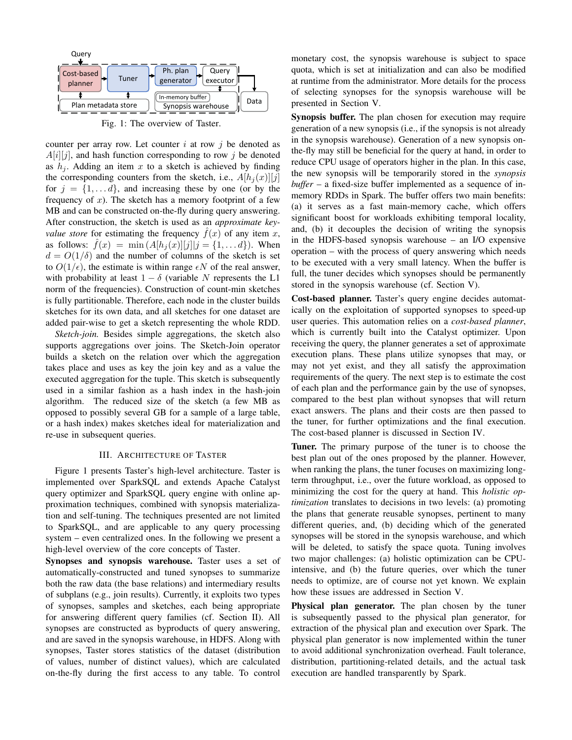

Fig. 1: The overview of Taster.

counter per array row. Let counter  $i$  at row  $j$  be denoted as  $A[i][j]$ , and hash function corresponding to row j be denoted as  $h_i$ . Adding an item x to a sketch is achieved by finding the corresponding counters from the sketch, i.e.,  $A[h_i(x)][j]$ for  $j = \{1, \ldots d\}$ , and increasing these by one (or by the frequency of  $x$ ). The sketch has a memory footprint of a few MB and can be constructed on-the-fly during query answering. After construction, the sketch is used as an *approximate keyvalue store* for estimating the frequency  $f(x)$  of any item x, as follows:  $f(x) = \min (A[h_i(x)][j][j] = \{1, \ldots d\})$ . When  $d = O(1/\delta)$  and the number of columns of the sketch is set to  $O(1/\epsilon)$ , the estimate is within range  $\epsilon N$  of the real answer, with probability at least  $1 - \delta$  (variable N represents the L1 norm of the frequencies). Construction of count-min sketches is fully partitionable. Therefore, each node in the cluster builds sketches for its own data, and all sketches for one dataset are added pair-wise to get a sketch representing the whole RDD.

*Sketch-join.* Besides simple aggregations, the sketch also supports aggregations over joins. The Sketch-Join operator builds a sketch on the relation over which the aggregation takes place and uses as key the join key and as a value the executed aggregation for the tuple. This sketch is subsequently used in a similar fashion as a hash index in the hash-join algorithm. The reduced size of the sketch (a few MB as opposed to possibly several GB for a sample of a large table, or a hash index) makes sketches ideal for materialization and re-use in subsequent queries.

# III. ARCHITECTURE OF TASTER

Figure 1 presents Taster's high-level architecture. Taster is implemented over SparkSQL and extends Apache Catalyst query optimizer and SparkSQL query engine with online approximation techniques, combined with synopsis materialization and self-tuning. The techniques presented are not limited to SparkSQL, and are applicable to any query processing system – even centralized ones. In the following we present a high-level overview of the core concepts of Taster.

Synopses and synopsis warehouse. Taster uses a set of automatically-constructed and tuned synopses to summarize both the raw data (the base relations) and intermediary results of subplans (e.g., join results). Currently, it exploits two types of synopses, samples and sketches, each being appropriate for answering different query families (cf. Section II). All synopses are constructed as byproducts of query answering, and are saved in the synopsis warehouse, in HDFS. Along with synopses, Taster stores statistics of the dataset (distribution of values, number of distinct values), which are calculated on-the-fly during the first access to any table. To control

monetary cost, the synopsis warehouse is subject to space quota, which is set at initialization and can also be modified at runtime from the administrator. More details for the process of selecting synopses for the synopsis warehouse will be presented in Section V.

Synopsis buffer. The plan chosen for execution may require generation of a new synopsis (i.e., if the synopsis is not already in the synopsis warehouse). Generation of a new synopsis onthe-fly may still be beneficial for the query at hand, in order to reduce CPU usage of operators higher in the plan. In this case, the new synopsis will be temporarily stored in the *synopsis buffer* – a fixed-size buffer implemented as a sequence of inmemory RDDs in Spark. The buffer offers two main benefits: (a) it serves as a fast main-memory cache, which offers significant boost for workloads exhibiting temporal locality, and, (b) it decouples the decision of writing the synopsis in the HDFS-based synopsis warehouse – an I/O expensive operation – with the process of query answering which needs to be executed with a very small latency. When the buffer is full, the tuner decides which synopses should be permanently stored in the synopsis warehouse (cf. Section V).

Cost-based planner. Taster's query engine decides automatically on the exploitation of supported synopses to speed-up user queries. This automation relies on a *cost-based planner*, which is currently built into the Catalyst optimizer. Upon receiving the query, the planner generates a set of approximate execution plans. These plans utilize synopses that may, or may not yet exist, and they all satisfy the approximation requirements of the query. The next step is to estimate the cost of each plan and the performance gain by the use of synopses, compared to the best plan without synopses that will return exact answers. The plans and their costs are then passed to the tuner, for further optimizations and the final execution. The cost-based planner is discussed in Section IV.

Tuner. The primary purpose of the tuner is to choose the best plan out of the ones proposed by the planner. However, when ranking the plans, the tuner focuses on maximizing longterm throughput, i.e., over the future workload, as opposed to minimizing the cost for the query at hand. This *holistic optimization* translates to decisions in two levels: (a) promoting the plans that generate reusable synopses, pertinent to many different queries, and, (b) deciding which of the generated synopses will be stored in the synopsis warehouse, and which will be deleted, to satisfy the space quota. Tuning involves two major challenges: (a) holistic optimization can be CPUintensive, and (b) the future queries, over which the tuner needs to optimize, are of course not yet known. We explain how these issues are addressed in Section V.

Physical plan generator. The plan chosen by the tuner is subsequently passed to the physical plan generator, for extraction of the physical plan and execution over Spark. The physical plan generator is now implemented within the tuner to avoid additional synchronization overhead. Fault tolerance, distribution, partitioning-related details, and the actual task execution are handled transparently by Spark.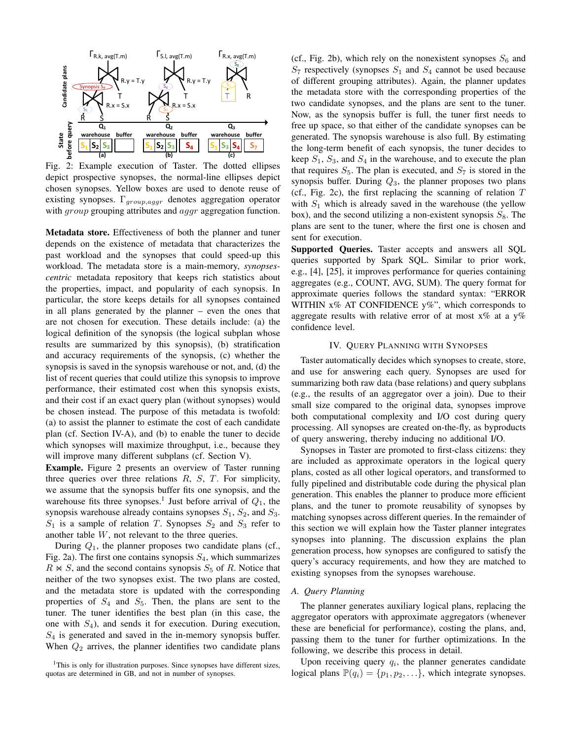

Fig. 2: Example execution of Taster. The dotted ellipses depict prospective synopses, the normal-line ellipses depict chosen synopses. Yellow boxes are used to denote reuse of existing synopses.  $\Gamma_{group,aggr}$  denotes aggregation operator with *group* grouping attributes and *aggr* aggregation function.

Metadata store. Effectiveness of both the planner and tuner depends on the existence of metadata that characterizes the past workload and the synopses that could speed-up this workload. The metadata store is a main-memory, *synopsescentric* metadata repository that keeps rich statistics about the properties, impact, and popularity of each synopsis. In particular, the store keeps details for all synopses contained in all plans generated by the planner – even the ones that are not chosen for execution. These details include: (a) the logical definition of the synopsis (the logical subplan whose results are summarized by this synopsis), (b) stratification and accuracy requirements of the synopsis, (c) whether the synopsis is saved in the synopsis warehouse or not, and, (d) the list of recent queries that could utilize this synopsis to improve performance, their estimated cost when this synopsis exists, and their cost if an exact query plan (without synopses) would be chosen instead. The purpose of this metadata is twofold: (a) to assist the planner to estimate the cost of each candidate plan (cf. Section IV-A), and (b) to enable the tuner to decide which synopses will maximize throughput, i.e., because they will improve many different subplans (cf. Section V).

Example. Figure 2 presents an overview of Taster running three queries over three relations  $R$ ,  $S$ ,  $T$ . For simplicity, we assume that the synopsis buffer fits one synopsis, and the warehouse fits three synopses.<sup>1</sup> Just before arrival of  $Q_1$ , the synopsis warehouse already contains synopses  $S_1$ ,  $S_2$ , and  $S_3$ .  $S_1$  is a sample of relation T. Synopses  $S_2$  and  $S_3$  refer to another table W, not relevant to the three queries.

During  $Q_1$ , the planner proposes two candidate plans (cf., Fig. 2a). The first one contains synopsis  $S_4$ , which summarizes  $R \bowtie S$ , and the second contains synopsis  $S_5$  of R. Notice that neither of the two synopses exist. The two plans are costed, and the metadata store is updated with the corresponding properties of  $S_4$  and  $S_5$ . Then, the plans are sent to the tuner. The tuner identifies the best plan (in this case, the one with  $S_4$ ), and sends it for execution. During execution,  $S_4$  is generated and saved in the in-memory synopsis buffer. When  $Q_2$  arrives, the planner identifies two candidate plans

(cf., Fig. 2b), which rely on the nonexistent synopses  $S_6$  and  $S_7$  respectively (synopses  $S_1$  and  $S_4$  cannot be used because of different grouping attributes). Again, the planner updates the metadata store with the corresponding properties of the two candidate synopses, and the plans are sent to the tuner. Now, as the synopsis buffer is full, the tuner first needs to free up space, so that either of the candidate synopses can be generated. The synopsis warehouse is also full. By estimating the long-term benefit of each synopsis, the tuner decides to keep  $S_1$ ,  $S_3$ , and  $S_4$  in the warehouse, and to execute the plan that requires  $S_5$ . The plan is executed, and  $S_7$  is stored in the synopsis buffer. During  $Q_3$ , the planner proposes two plans (cf., Fig. 2c), the first replacing the scanning of relation  $T$ with  $S_1$  which is already saved in the warehouse (the yellow box), and the second utilizing a non-existent synopsis  $S_8$ . The plans are sent to the tuner, where the first one is chosen and sent for execution.

Supported Queries. Taster accepts and answers all SQL queries supported by Spark SQL. Similar to prior work, e.g., [4], [25], it improves performance for queries containing aggregates (e.g., COUNT, AVG, SUM). The query format for approximate queries follows the standard syntax: "ERROR WITHIN  $x\%$  AT CONFIDENCE  $y\%$ ", which corresponds to aggregate results with relative error of at most  $x\%$  at a y% confidence level.

## IV. QUERY PLANNING WITH SYNOPSES

Taster automatically decides which synopses to create, store, and use for answering each query. Synopses are used for summarizing both raw data (base relations) and query subplans (e.g., the results of an aggregator over a join). Due to their small size compared to the original data, synopses improve both computational complexity and I/O cost during query processing. All synopses are created on-the-fly, as byproducts of query answering, thereby inducing no additional I/O.

Synopses in Taster are promoted to first-class citizens: they are included as approximate operators in the logical query plans, costed as all other logical operators, and transformed to fully pipelined and distributable code during the physical plan generation. This enables the planner to produce more efficient plans, and the tuner to promote reusability of synopses by matching synopses across different queries. In the remainder of this section we will explain how the Taster planner integrates synopses into planning. The discussion explains the plan generation process, how synopses are configured to satisfy the query's accuracy requirements, and how they are matched to existing synopses from the synopses warehouse.

## *A. Query Planning*

The planner generates auxiliary logical plans, replacing the aggregator operators with approximate aggregators (whenever these are beneficial for performance), costing the plans, and, passing them to the tuner for further optimizations. In the following, we describe this process in detail.

Upon receiving query  $q_i$ , the planner generates candidate logical plans  $\mathbb{P}(q_i) = \{p_1, p_2, \ldots\}$ , which integrate synopses.

<sup>&</sup>lt;sup>1</sup>This is only for illustration purposes. Since synopses have different sizes, quotas are determined in GB, and not in number of synopses.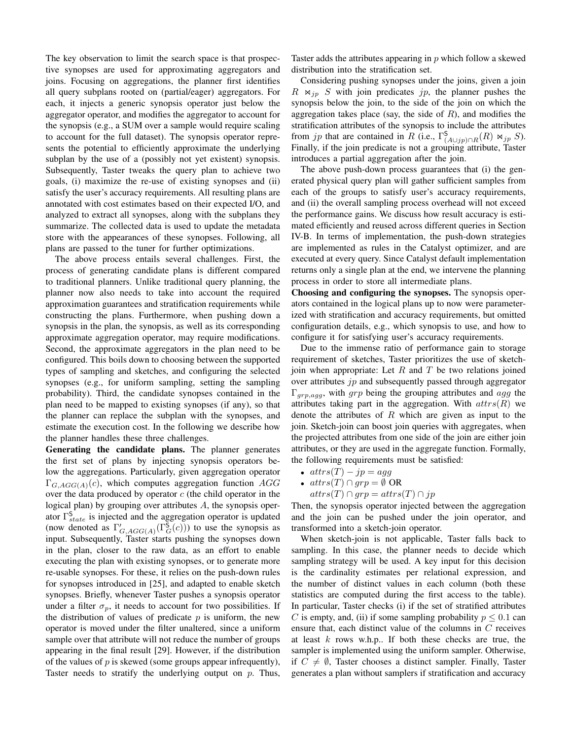The key observation to limit the search space is that prospective synopses are used for approximating aggregators and joins. Focusing on aggregations, the planner first identifies all query subplans rooted on (partial/eager) aggregators. For each, it injects a generic synopsis operator just below the aggregator operator, and modifies the aggregator to account for the synopsis (e.g., a SUM over a sample would require scaling to account for the full dataset). The synopsis operator represents the potential to efficiently approximate the underlying subplan by the use of a (possibly not yet existent) synopsis. Subsequently, Taster tweaks the query plan to achieve two goals, (i) maximize the re-use of existing synopses and (ii) satisfy the user's accuracy requirements. All resulting plans are annotated with cost estimates based on their expected I/O, and analyzed to extract all synopses, along with the subplans they summarize. The collected data is used to update the metadata store with the appearances of these synopses. Following, all plans are passed to the tuner for further optimizations.

The above process entails several challenges. First, the process of generating candidate plans is different compared to traditional planners. Unlike traditional query planning, the planner now also needs to take into account the required approximation guarantees and stratification requirements while constructing the plans. Furthermore, when pushing down a synopsis in the plan, the synopsis, as well as its corresponding approximate aggregation operator, may require modifications. Second, the approximate aggregators in the plan need to be configured. This boils down to choosing between the supported types of sampling and sketches, and configuring the selected synopses (e.g., for uniform sampling, setting the sampling probability). Third, the candidate synopses contained in the plan need to be mapped to existing synopses (if any), so that the planner can replace the subplan with the synopses, and estimate the execution cost. In the following we describe how the planner handles these three challenges.

Generating the candidate plans. The planner generates the first set of plans by injecting synopsis operators below the aggregations. Particularly, given aggregation operator  $\Gamma_{G,AGG(A)}(c)$ , which computes aggregation function AGG over the data produced by operator  $c$  (the child operator in the logical plan) by grouping over attributes A, the synopsis operator  $\Gamma_{state}^{S}$  is injected and the aggregation operator is updated (now denoted as  $\Gamma'_{G,AGG(A)}(\Gamma_G^{\mathsf{S}}(c))$ ) to use the synopsis as input. Subsequently, Taster starts pushing the synopses down in the plan, closer to the raw data, as an effort to enable executing the plan with existing synopses, or to generate more re-usable synopses. For these, it relies on the push-down rules for synopses introduced in [25], and adapted to enable sketch synopses. Briefly, whenever Taster pushes a synopsis operator under a filter  $\sigma_p$ , it needs to account for two possibilities. If the distribution of values of predicate  $p$  is uniform, the new operator is moved under the filter unaltered, since a uniform sample over that attribute will not reduce the number of groups appearing in the final result [29]. However, if the distribution of the values of  $p$  is skewed (some groups appear infrequently), Taster needs to stratify the underlying output on  $p$ . Thus, Taster adds the attributes appearing in p which follow a skewed distribution into the stratification set.

Considering pushing synopses under the joins, given a join  $R \Join_{jp} S$  with join predicates jp, the planner pushes the synopsis below the join, to the side of the join on which the aggregation takes place (say, the side of  $R$ ), and modifies the stratification attributes of the synopsis to include the attributes from jp that are contained in R (i.e.,  $\Gamma_{(A \cup jp) \cap R}^{\mathsf{S}}(R) \bowtie_{jp} S$ ). Finally, if the join predicate is not a grouping attribute, Taster introduces a partial aggregation after the join.

The above push-down process guarantees that (i) the generated physical query plan will gather sufficient samples from each of the groups to satisfy user's accuracy requirements, and (ii) the overall sampling process overhead will not exceed the performance gains. We discuss how result accuracy is estimated efficiently and reused across different queries in Section IV-B. In terms of implementation, the push-down strategies are implemented as rules in the Catalyst optimizer, and are executed at every query. Since Catalyst default implementation returns only a single plan at the end, we intervene the planning process in order to store all intermediate plans.

Choosing and configuring the synopses. The synopsis operators contained in the logical plans up to now were parameterized with stratification and accuracy requirements, but omitted configuration details, e.g., which synopsis to use, and how to configure it for satisfying user's accuracy requirements.

Due to the immense ratio of performance gain to storage requirement of sketches, Taster prioritizes the use of sketchjoin when appropriate: Let  $R$  and  $T$  be two relations joined over attributes  $ip$  and subsequently passed through aggregator  $\Gamma_{qrp,agg}$ , with grp being the grouping attributes and agg the attributes taking part in the aggregation. With  $atrs(R)$  we denote the attributes of  $R$  which are given as input to the join. Sketch-join can boost join queries with aggregates, when the projected attributes from one side of the join are either join attributes, or they are used in the aggregate function. Formally, the following requirements must be satisfied:

- $attrs(T) jp = agg$
- $attrs(T)\cap grp=\emptyset$  OR
	- $attrs(T)\cap grp=attrs(T)\cap jp$

Then, the synopsis operator injected between the aggregation and the join can be pushed under the join operator, and transformed into a sketch-join operator.

When sketch-join is not applicable, Taster falls back to sampling. In this case, the planner needs to decide which sampling strategy will be used. A key input for this decision is the cardinality estimates per relational expression, and the number of distinct values in each column (both these statistics are computed during the first access to the table). In particular, Taster checks (i) if the set of stratified attributes C is empty, and, (ii) if some sampling probability  $p \leq 0.1$  can ensure that, each distinct value of the columns in C receives at least  $k$  rows w.h.p.. If both these checks are true, the sampler is implemented using the uniform sampler. Otherwise, if  $C \neq \emptyset$ , Taster chooses a distinct sampler. Finally, Taster generates a plan without samplers if stratification and accuracy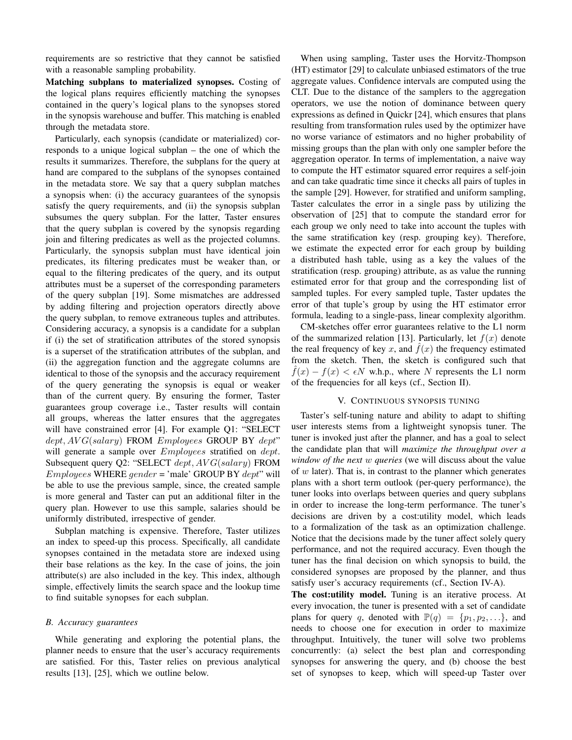requirements are so restrictive that they cannot be satisfied with a reasonable sampling probability.

Matching subplans to materialized synopses. Costing of the logical plans requires efficiently matching the synopses contained in the query's logical plans to the synopses stored in the synopsis warehouse and buffer. This matching is enabled through the metadata store.

Particularly, each synopsis (candidate or materialized) corresponds to a unique logical subplan – the one of which the results it summarizes. Therefore, the subplans for the query at hand are compared to the subplans of the synopses contained in the metadata store. We say that a query subplan matches a synopsis when: (i) the accuracy guarantees of the synopsis satisfy the query requirements, and (ii) the synopsis subplan subsumes the query subplan. For the latter, Taster ensures that the query subplan is covered by the synopsis regarding join and filtering predicates as well as the projected columns. Particularly, the synopsis subplan must have identical join predicates, its filtering predicates must be weaker than, or equal to the filtering predicates of the query, and its output attributes must be a superset of the corresponding parameters of the query subplan [19]. Some mismatches are addressed by adding filtering and projection operators directly above the query subplan, to remove extraneous tuples and attributes. Considering accuracy, a synopsis is a candidate for a subplan if (i) the set of stratification attributes of the stored synopsis is a superset of the stratification attributes of the subplan, and (ii) the aggregation function and the aggregate columns are identical to those of the synopsis and the accuracy requirement of the query generating the synopsis is equal or weaker than of the current query. By ensuring the former, Taster guarantees group coverage i.e., Taster results will contain all groups, whereas the latter ensures that the aggregates will have constrained error [4]. For example Q1: "SELECT  $dept, AVG(salary)$  FROM *Employees* GROUP BY  $dept$ " will generate a sample over  $Employes$  stratified on  $dept.$ Subsequent query Q2: "SELECT dept,  $AVG(salary)$  FROM  $Employes$  WHERE  $gender = 'male'$  GROUP BY  $dept'$  will be able to use the previous sample, since, the created sample is more general and Taster can put an additional filter in the query plan. However to use this sample, salaries should be uniformly distributed, irrespective of gender.

Subplan matching is expensive. Therefore, Taster utilizes an index to speed-up this process. Specifically, all candidate synopses contained in the metadata store are indexed using their base relations as the key. In the case of joins, the join attribute(s) are also included in the key. This index, although simple, effectively limits the search space and the lookup time to find suitable synopses for each subplan.

## *B. Accuracy guarantees*

While generating and exploring the potential plans, the planner needs to ensure that the user's accuracy requirements are satisfied. For this, Taster relies on previous analytical results [13], [25], which we outline below.

When using sampling, Taster uses the Horvitz-Thompson (HT) estimator [29] to calculate unbiased estimators of the true aggregate values. Confidence intervals are computed using the CLT. Due to the distance of the samplers to the aggregation operators, we use the notion of dominance between query expressions as defined in Quickr [24], which ensures that plans resulting from transformation rules used by the optimizer have no worse variance of estimators and no higher probability of missing groups than the plan with only one sampler before the aggregation operator. In terms of implementation, a naive way to compute the HT estimator squared error requires a self-join and can take quadratic time since it checks all pairs of tuples in the sample [29]. However, for stratified and uniform sampling, Taster calculates the error in a single pass by utilizing the observation of [25] that to compute the standard error for each group we only need to take into account the tuples with the same stratification key (resp. grouping key). Therefore, we estimate the expected error for each group by building a distributed hash table, using as a key the values of the stratification (resp. grouping) attribute, as as value the running estimated error for that group and the corresponding list of sampled tuples. For every sampled tuple, Taster updates the error of that tuple's group by using the HT estimator error formula, leading to a single-pass, linear complexity algorithm.

CM-sketches offer error guarantees relative to the L1 norm of the summarized relation [13]. Particularly, let  $f(x)$  denote the real frequency of key x, and  $\hat{f}(x)$  the frequency estimated from the sketch. Then, the sketch is configured such that  $\hat{f}(x) - f(x) < \epsilon N$  w.h.p., where N represents the L1 norm of the frequencies for all keys (cf., Section II).

# V. CONTINUOUS SYNOPSIS TUNING

Taster's self-tuning nature and ability to adapt to shifting user interests stems from a lightweight synopsis tuner. The tuner is invoked just after the planner, and has a goal to select the candidate plan that will *maximize the throughput over a window of the next* w *queries* (we will discuss about the value of  $w$  later). That is, in contrast to the planner which generates plans with a short term outlook (per-query performance), the tuner looks into overlaps between queries and query subplans in order to increase the long-term performance. The tuner's decisions are driven by a cost:utility model, which leads to a formalization of the task as an optimization challenge. Notice that the decisions made by the tuner affect solely query performance, and not the required accuracy. Even though the tuner has the final decision on which synopsis to build, the considered synopses are proposed by the planner, and thus satisfy user's accuracy requirements (cf., Section IV-A).

The cost:utility model. Tuning is an iterative process. At every invocation, the tuner is presented with a set of candidate plans for query q, denoted with  $\mathbb{P}(q) = \{p_1, p_2, ...\}$ , and needs to choose one for execution in order to maximize throughput. Intuitively, the tuner will solve two problems concurrently: (a) select the best plan and corresponding synopses for answering the query, and (b) choose the best set of synopses to keep, which will speed-up Taster over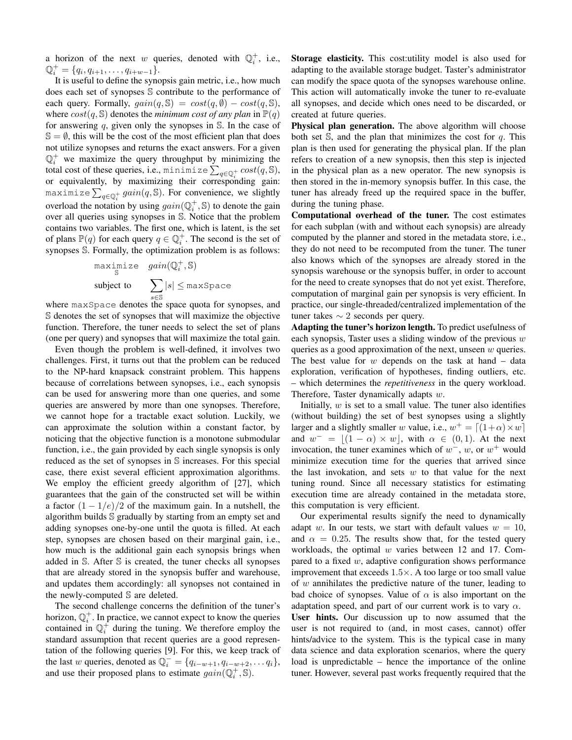a horizon of the next w queries, denoted with  $\mathbb{Q}_i^+$ , i.e.,  $\mathbb{Q}_i^+ = \{q_i, q_{i+1}, \ldots, q_{i+w-1}\}.$ 

It is useful to define the synopsis gain metric, i.e., how much does each set of synopses S contribute to the performance of each query. Formally,  $gain(q, \mathbb{S}) = cost(q, \emptyset) - cost(q, \mathbb{S}),$ where  $cost(q, \mathcal{S})$  denotes the *minimum cost of any plan* in  $\mathbb{P}(q)$ for answering q, given only the synopses in  $S$ . In the case of  $\mathbb{S} = \emptyset$ , this will be the cost of the most efficient plan that does not utilize synopses and returns the exact answers. For a given  $\mathbb{Q}_i^+$  we maximize the query throughput by minimizing the total cost of these queries, i.e., minimize  $\sum_{q\in \mathbb{Q}_i^+} cost(q,\mathbb{S}),$ or equivalently, by maximizing their corresponding gain: maximize  $\sum_{q \in \mathbb{Q}_i^+} gain(q, \mathbb{S})$ . For convenience, we slightly overload the notation by using  $gain(\mathbb{Q}_i^+,\mathbb{S})$  to denote the gain over all queries using synopses in S. Notice that the problem contains two variables. The first one, which is latent, is the set of plans  $\mathbb{P}(q)$  for each query  $q \in \mathbb{Q}_i^+$ . The second is the set of synopses S. Formally, the optimization problem is as follows:

$$
\begin{array}{ll}\n\text{maximize} & \text{gain}(\mathbb{Q}_i^+, \mathbb{S}) \\
\text{subject to} & \sum_{e \in \mathbb{S}} |s| \leq \text{maxSpace}\n\end{array}
$$

s∈S where maxSpace denotes the space quota for synopses, and S denotes the set of synopses that will maximize the objective function. Therefore, the tuner needs to select the set of plans (one per query) and synopses that will maximize the total gain.

Even though the problem is well-defined, it involves two challenges. First, it turns out that the problem can be reduced to the NP-hard knapsack constraint problem. This happens because of correlations between synopses, i.e., each synopsis can be used for answering more than one queries, and some queries are answered by more than one synopses. Therefore, we cannot hope for a tractable exact solution. Luckily, we can approximate the solution within a constant factor, by noticing that the objective function is a monotone submodular function, i.e., the gain provided by each single synopsis is only reduced as the set of synopses in S increases. For this special case, there exist several efficient approximation algorithms. We employ the efficient greedy algorithm of [27], which guarantees that the gain of the constructed set will be within a factor  $(1 - 1/e)/2$  of the maximum gain. In a nutshell, the algorithm builds S gradually by starting from an empty set and adding synopses one-by-one until the quota is filled. At each step, synopses are chosen based on their marginal gain, i.e., how much is the additional gain each synopsis brings when added in S. After S is created, the tuner checks all synopses that are already stored in the synopsis buffer and warehouse, and updates them accordingly: all synopses not contained in the newly-computed S are deleted.

The second challenge concerns the definition of the tuner's horizon,  $\mathbb{Q}_i^+$ . In practice, we cannot expect to know the queries contained in  $\mathbb{Q}_i^{\dagger}$  during the tuning. We therefore employ the standard assumption that recent queries are a good representation of the following queries [9]. For this, we keep track of the last w queries, denoted as  $\mathbb{Q}_i^- = \{q_{i-w+1}, q_{i-w+2}, \ldots, q_i\},$ and use their proposed plans to estimate  $gain(\mathbb{Q}_i^+,\mathbb{S})$ .

Storage elasticity. This cost:utility model is also used for adapting to the available storage budget. Taster's administrator can modify the space quota of the synopses warehouse online. This action will automatically invoke the tuner to re-evaluate all synopses, and decide which ones need to be discarded, or created at future queries.

Physical plan generation. The above algorithm will choose both set  $\mathbb S$ , and the plan that minimizes the cost for q. This plan is then used for generating the physical plan. If the plan refers to creation of a new synopsis, then this step is injected in the physical plan as a new operator. The new synopsis is then stored in the in-memory synopsis buffer. In this case, the tuner has already freed up the required space in the buffer, during the tuning phase.

Computational overhead of the tuner. The cost estimates for each subplan (with and without each synopsis) are already computed by the planner and stored in the metadata store, i.e., they do not need to be recomputed from the tuner. The tuner also knows which of the synopses are already stored in the synopsis warehouse or the synopsis buffer, in order to account for the need to create synopses that do not yet exist. Therefore, computation of marginal gain per synopsis is very efficient. In practice, our single-threaded/centralized implementation of the tuner takes ∼ 2 seconds per query.

Adapting the tuner's horizon length. To predict usefulness of each synopsis, Taster uses a sliding window of the previous  $w$ queries as a good approximation of the next, unseen  $w$  queries. The best value for  $w$  depends on the task at hand  $-$  data exploration, verification of hypotheses, finding outliers, etc. – which determines the *repetitiveness* in the query workload. Therefore, Taster dynamically adapts w.

Initially,  $w$  is set to a small value. The tuner also identifies (without building) the set of best synopses using a slightly larger and a slightly smaller w value, i.e.,  $w^+ = [(1+\alpha) \times w]$ and  $w^- = \lfloor (1 - \alpha) \times w \rfloor$ , with  $\alpha \in (0, 1)$ . At the next invocation, the tuner examines which of  $w^-, w$ , or  $w^+$  would minimize execution time for the queries that arrived since the last invokation, and sets  $w$  to that value for the next tuning round. Since all necessary statistics for estimating execution time are already contained in the metadata store, this computation is very efficient.

Our experimental results signify the need to dynamically adapt w. In our tests, we start with default values  $w = 10$ , and  $\alpha = 0.25$ . The results show that, for the tested query workloads, the optimal  $w$  varies between 12 and 17. Compared to a fixed  $w$ , adaptive configuration shows performance improvement that exceeds  $1.5\times$ . A too large or too small value of  $w$  annihilates the predictive nature of the tuner, leading to bad choice of synopses. Value of  $\alpha$  is also important on the adaptation speed, and part of our current work is to vary  $\alpha$ . User hints. Our discussion up to now assumed that the user is not required to (and, in most cases, cannot) offer hints/advice to the system. This is the typical case in many data science and data exploration scenarios, where the query load is unpredictable – hence the importance of the online tuner. However, several past works frequently required that the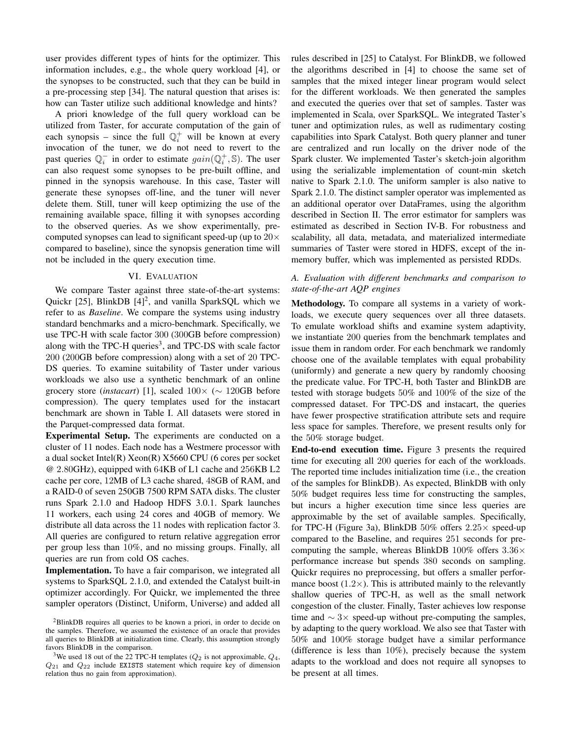user provides different types of hints for the optimizer. This information includes, e.g., the whole query workload [4], or the synopses to be constructed, such that they can be build in a pre-processing step [34]. The natural question that arises is: how can Taster utilize such additional knowledge and hints?

A priori knowledge of the full query workload can be utilized from Taster, for accurate computation of the gain of each synopsis – since the full  $\mathbb{Q}_i^+$  will be known at every invocation of the tuner, we do not need to revert to the past queries  $\mathbb{Q}_i^-$  in order to estimate  $gain(\mathbb{Q}_i^+,\mathbb{S})$ . The user can also request some synopses to be pre-built offline, and pinned in the synopsis warehouse. In this case, Taster will generate these synopses off-line, and the tuner will never delete them. Still, tuner will keep optimizing the use of the remaining available space, filling it with synopses according to the observed queries. As we show experimentally, precomputed synopses can lead to significant speed-up (up to  $20 \times$ compared to baseline), since the synopsis generation time will not be included in the query execution time.

## VI. EVALUATION

We compare Taster against three state-of-the-art systems: Quickr [25], BlinkDB  $[4]^2$ , and vanilla SparkSQL which we refer to as *Baseline*. We compare the systems using industry standard benchmarks and a micro-benchmark. Specifically, we use TPC-H with scale factor 300 (300GB before compression) along with the TPC-H queries<sup>3</sup>, and TPC-DS with scale factor 200 (200GB before compression) along with a set of 20 TPC-DS queries. To examine suitability of Taster under various workloads we also use a synthetic benchmark of an online grocery store (*instacart*) [1], scaled 100× (∼ 120GB before compression). The query templates used for the instacart benchmark are shown in Table I. All datasets were stored in the Parquet-compressed data format.

Experimental Setup. The experiments are conducted on a cluster of 11 nodes. Each node has a Westmere processor with a dual socket Intel(R) Xeon(R) X5660 CPU (6 cores per socket @ 2.80GHz), equipped with 64KB of L1 cache and 256KB L2 cache per core, 12MB of L3 cache shared, 48GB of RAM, and a RAID-0 of seven 250GB 7500 RPM SATA disks. The cluster runs Spark 2.1.0 and Hadoop HDFS 3.0.1. Spark launches 11 workers, each using 24 cores and 40GB of memory. We distribute all data across the 11 nodes with replication factor 3. All queries are configured to return relative aggregation error per group less than 10%, and no missing groups. Finally, all queries are run from cold OS caches.

Implementation. To have a fair comparison, we integrated all systems to SparkSQL 2.1.0, and extended the Catalyst built-in optimizer accordingly. For Quickr, we implemented the three sampler operators (Distinct, Uniform, Universe) and added all rules described in [25] to Catalyst. For BlinkDB, we followed the algorithms described in [4] to choose the same set of samples that the mixed integer linear program would select for the different workloads. We then generated the samples and executed the queries over that set of samples. Taster was implemented in Scala, over SparkSQL. We integrated Taster's tuner and optimization rules, as well as rudimentary costing capabilities into Spark Catalyst. Both query planner and tuner are centralized and run locally on the driver node of the Spark cluster. We implemented Taster's sketch-join algorithm using the serializable implementation of count-min sketch native to Spark 2.1.0. The uniform sampler is also native to Spark 2.1.0. The distinct sampler operator was implemented as an additional operator over DataFrames, using the algorithm described in Section II. The error estimator for samplers was estimated as described in Section IV-B. For robustness and scalability, all data, metadata, and materialized intermediate summaries of Taster were stored in HDFS, except of the inmemory buffer, which was implemented as persisted RDDs.

# *A. Evaluation with different benchmarks and comparison to state-of-the-art AQP engines*

Methodology. To compare all systems in a variety of workloads, we execute query sequences over all three datasets. To emulate workload shifts and examine system adaptivity, we instantiate 200 queries from the benchmark templates and issue them in random order. For each benchmark we randomly choose one of the available templates with equal probability (uniformly) and generate a new query by randomly choosing the predicate value. For TPC-H, both Taster and BlinkDB are tested with storage budgets 50% and 100% of the size of the compressed dataset. For TPC-DS and instacart, the queries have fewer prospective stratification attribute sets and require less space for samples. Therefore, we present results only for the 50% storage budget.

End-to-end execution time. Figure 3 presents the required time for executing all 200 queries for each of the workloads. The reported time includes initialization time (i.e., the creation of the samples for BlinkDB). As expected, BlinkDB with only 50% budget requires less time for constructing the samples, but incurs a higher execution time since less queries are approximable by the set of available samples. Specifically, for TPC-H (Figure 3a), BlinkDB  $50\%$  offers  $2.25\times$  speed-up compared to the Baseline, and requires 251 seconds for precomputing the sample, whereas BlinkDB 100% offers  $3.36\times$ performance increase but spends 380 seconds on sampling. Quickr requires no preprocessing, but offers a smaller performance boost  $(1.2\times)$ . This is attributed mainly to the relevantly shallow queries of TPC-H, as well as the small network congestion of the cluster. Finally, Taster achieves low response time and  $\sim 3 \times$  speed-up without pre-computing the samples, by adapting to the query workload. We also see that Taster with 50% and 100% storage budget have a similar performance (difference is less than 10%), precisely because the system adapts to the workload and does not require all synopses to be present at all times.

<sup>2</sup>BlinkDB requires all queries to be known a priori, in order to decide on the samples. Therefore, we assumed the existence of an oracle that provides all queries to BlinkDB at initialization time. Clearly, this assumption strongly favors BlinkDB in the comparison.

<sup>&</sup>lt;sup>3</sup>We used 18 out of the 22 TPC-H templates ( $Q_2$  is not approximable,  $Q_4$ ,  $Q_{21}$  and  $Q_{22}$  include EXISTS statement which require key of dimension relation thus no gain from approximation).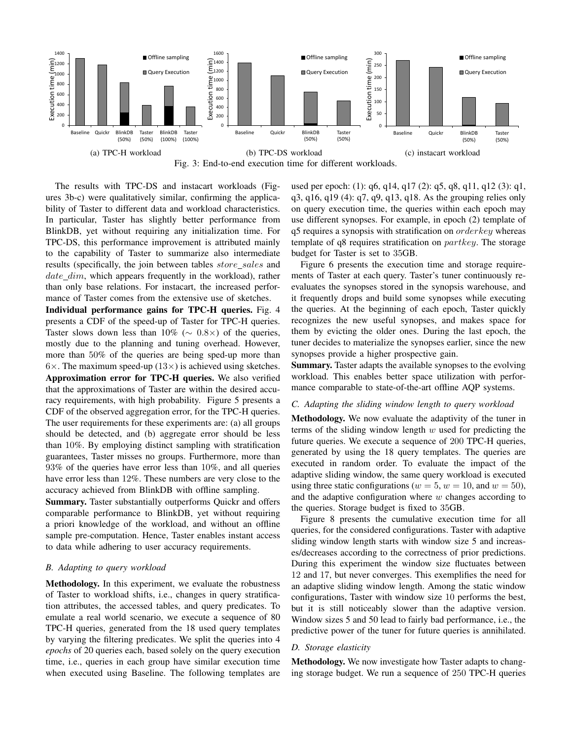

Fig. 3: End-to-end execution time for different workloads.

The results with TPC-DS and instacart workloads (Figures 3b-c) were qualitatively similar, confirming the applicability of Taster to different data and workload characteristics. In particular, Taster has slightly better performance from BlinkDB, yet without requiring any initialization time. For TPC-DS, this performance improvement is attributed mainly to the capability of Taster to summarize also intermediate results (specifically, the join between tables store\_sales and  $date\_dim$ , which appears frequently in the workload), rather than only base relations. For instacart, the increased performance of Taster comes from the extensive use of sketches.

Individual performance gains for TPC-H queries. Fig. 4 presents a CDF of the speed-up of Taster for TPC-H queries. Taster slows down less than 10% ( $\sim$  0.8×) of the queries, mostly due to the planning and tuning overhead. However, more than 50% of the queries are being sped-up more than  $6\times$ . The maximum speed-up (13 $\times$ ) is achieved using sketches.

Approximation error for TPC-H queries. We also verified that the approximations of Taster are within the desired accuracy requirements, with high probability. Figure 5 presents a CDF of the observed aggregation error, for the TPC-H queries. The user requirements for these experiments are: (a) all groups should be detected, and (b) aggregate error should be less than 10%. By employing distinct sampling with stratification guarantees, Taster misses no groups. Furthermore, more than 93% of the queries have error less than 10%, and all queries have error less than 12%. These numbers are very close to the accuracy achieved from BlinkDB with offline sampling.

Summary. Taster substantially outperforms Quickr and offers comparable performance to BlinkDB, yet without requiring a priori knowledge of the workload, and without an offline sample pre-computation. Hence, Taster enables instant access to data while adhering to user accuracy requirements.

## *B. Adapting to query workload*

Methodology. In this experiment, we evaluate the robustness of Taster to workload shifts, i.e., changes in query stratification attributes, the accessed tables, and query predicates. To emulate a real world scenario, we execute a sequence of 80 TPC-H queries, generated from the 18 used query templates by varying the filtering predicates. We split the queries into 4 *epochs* of 20 queries each, based solely on the query execution time, i.e., queries in each group have similar execution time when executed using Baseline. The following templates are used per epoch: (1): q6, q14, q17 (2): q5, q8, q11, q12 (3): q1, q3, q16, q19 (4): q7, q9, q13, q18. As the grouping relies only on query execution time, the queries within each epoch may use different synopses. For example, in epoch (2) template of  $q5$  requires a synopsis with stratification on  $orderkey$  whereas template of q8 requires stratification on partkey. The storage budget for Taster is set to 35GB.

Figure 6 presents the execution time and storage requirements of Taster at each query. Taster's tuner continuously reevaluates the synopses stored in the synopsis warehouse, and it frequently drops and build some synopses while executing the queries. At the beginning of each epoch, Taster quickly recognizes the new useful synopses, and makes space for them by evicting the older ones. During the last epoch, the tuner decides to materialize the synopses earlier, since the new synopses provide a higher prospective gain.

Summary. Taster adapts the available synopses to the evolving workload. This enables better space utilization with performance comparable to state-of-the-art offline AQP systems.

## *C. Adapting the sliding window length to query workload*

Methodology. We now evaluate the adaptivity of the tuner in terms of the sliding window length  $w$  used for predicting the future queries. We execute a sequence of 200 TPC-H queries, generated by using the 18 query templates. The queries are executed in random order. To evaluate the impact of the adaptive sliding window, the same query workload is executed using three static configurations ( $w = 5$ ,  $w = 10$ , and  $w = 50$ ). and the adaptive configuration where  $w$  changes according to the queries. Storage budget is fixed to 35GB.

Figure 8 presents the cumulative execution time for all queries, for the considered configurations. Taster with adaptive sliding window length starts with window size 5 and increases/decreases according to the correctness of prior predictions. During this experiment the window size fluctuates between 12 and 17, but never converges. This exemplifies the need for an adaptive sliding window length. Among the static window configurations, Taster with window size 10 performs the best, but it is still noticeably slower than the adaptive version. Window sizes 5 and 50 lead to fairly bad performance, i.e., the predictive power of the tuner for future queries is annihilated.

## *D. Storage elasticity*

Methodology. We now investigate how Taster adapts to changing storage budget. We run a sequence of 250 TPC-H queries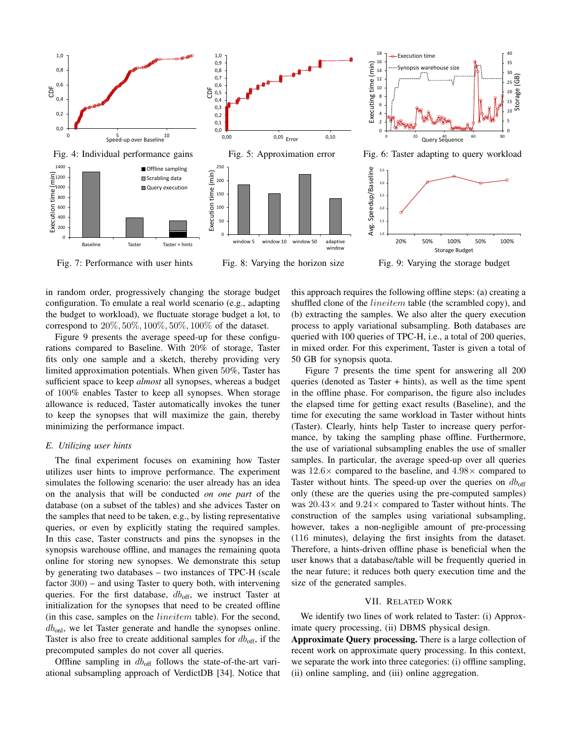

in random order, progressively changing the storage budget configuration. To emulate a real world scenario (e.g., adapting the budget to workload), we fluctuate storage budget a lot, to correspond to 20%, 50%, 100%, 50%, 100% of the dataset.

Figure 9 presents the average speed-up for these configurations compared to Baseline. With 20% of storage, Taster fits only one sample and a sketch, thereby providing very limited approximation potentials. When given 50%, Taster has sufficient space to keep *almost* all synopses, whereas a budget of 100% enables Taster to keep all synopses. When storage allowance is reduced, Taster automatically invokes the tuner to keep the synopses that will maximize the gain, thereby minimizing the performance impact.

# *E. Utilizing user hints*

The final experiment focuses on examining how Taster utilizes user hints to improve performance. The experiment simulates the following scenario: the user already has an idea on the analysis that will be conducted *on one part* of the database (on a subset of the tables) and she advices Taster on the samples that need to be taken, e.g., by listing representative queries, or even by explicitly stating the required samples. In this case, Taster constructs and pins the synopses in the synopsis warehouse offline, and manages the remaining quota online for storing new synopses. We demonstrate this setup by generating two databases – two instances of TPC-H (scale factor 300) – and using Taster to query both, with intervening queries. For the first database,  $db_{\text{off}}$ , we instruct Taster at initialization for the synopses that need to be created offline (in this case, samples on the lineitem table). For the second,  $db_{\text{onl}}$ , we let Taster generate and handle the synopses online. Taster is also free to create additional samples for  $db_{\text{off}}$ , if the precomputed samples do not cover all queries.

Offline sampling in  $db_{off}$  follows the state-of-the-art variational subsampling approach of VerdictDB [34]. Notice that this approach requires the following offline steps: (a) creating a shuffled clone of the *lineitem* table (the scrambled copy), and (b) extracting the samples. We also alter the query execution process to apply variational subsampling. Both databases are queried with 100 queries of TPC-H, i.e., a total of 200 queries, in mixed order. For this experiment, Taster is given a total of 50 GB for synopsis quota.

Figure 7 presents the time spent for answering all 200 queries (denoted as Taster + hints), as well as the time spent in the offline phase. For comparison, the figure also includes the elapsed time for getting exact results (Baseline), and the time for executing the same workload in Taster without hints (Taster). Clearly, hints help Taster to increase query performance, by taking the sampling phase offline. Furthermore, the use of variational subsampling enables the use of smaller samples. In particular, the average speed-up over all queries was  $12.6\times$  compared to the baseline, and  $4.98\times$  compared to Taster without hints. The speed-up over the queries on  $db_{\text{off}}$ only (these are the queries using the pre-computed samples) was  $20.43\times$  and  $9.24\times$  compared to Taster without hints. The construction of the samples using variational subsampling, however, takes a non-negligible amount of pre-processing (116 minutes), delaying the first insights from the dataset. Therefore, a hints-driven offline phase is beneficial when the user knows that a database/table will be frequently queried in the near future; it reduces both query execution time and the size of the generated samples.

## VII. RELATED WORK

We identify two lines of work related to Taster: (i) Approximate query processing, (ii) DBMS physical design.

Approximate Query processing. There is a large collection of recent work on approximate query processing. In this context, we separate the work into three categories: (i) offline sampling, (ii) online sampling, and (iii) online aggregation.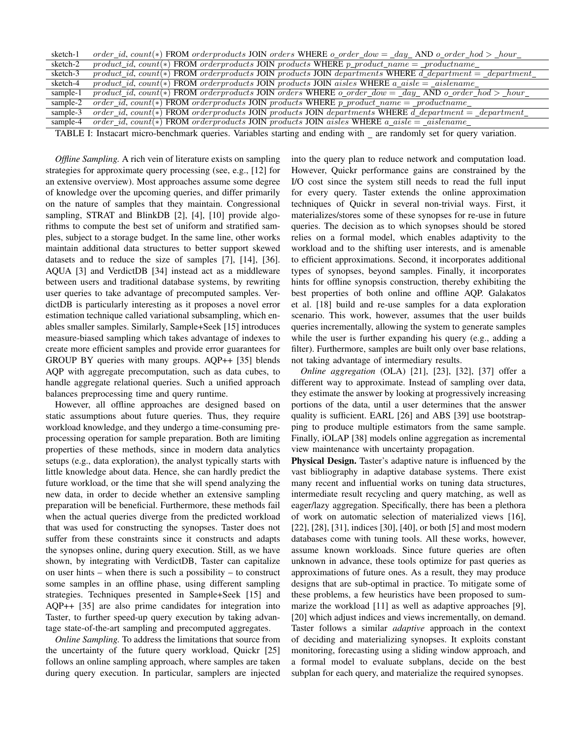| sketch-1 | order_id, count(*) FROM orderproducts JOIN orders WHERE $o\_order\_dow = \_day\_AND o\_order\_hod > \_hour\_$         |
|----------|-----------------------------------------------------------------------------------------------------------------------|
| sketch-2 | $product\_id$ , $count(*)$ FROM orderproducts JOIN products WHERE $p\_product\_name =\_productname$                   |
| sketch-3 | $product\_id$ , $count(*)$ FROM orderproducts JOIN products JOIN departments WHERE d_department = _department_        |
| sketch-4 | product_id, count(*) FROM orderproducts JOIN products JOIN aisles WHERE $a\_aisle = _{aislename\_}$                   |
| sample-1 | $product\_id$ , $count(*)$ FROM orderproducts JOIN orders WHERE $o\_order\_dow = \_day\_AND o\_order\_hod > \_hour\_$ |
| sample-2 | order_id, count(*) FROM orderproducts JOIN products WHERE $p\_product\_name =\_productname$                           |
| sample-3 | $order\_id$ , $count(*)$ FROM orderproducts JOIN products JOIN departments WHERE d_department = _department_          |
| sample-4 | order_id, count(*) FROM orderproducts JOIN products JOIN aisles WHERE $a\_aisle = _aislename$                         |
|          |                                                                                                                       |

TABLE I: Instacart micro-benchmark queries. Variables starting and ending with \_ are randomly set for query variation.

*Offline Sampling.* A rich vein of literature exists on sampling strategies for approximate query processing (see, e.g., [12] for an extensive overview). Most approaches assume some degree of knowledge over the upcoming queries, and differ primarily on the nature of samples that they maintain. Congressional sampling, STRAT and BlinkDB [2], [4], [10] provide algorithms to compute the best set of uniform and stratified samples, subject to a storage budget. In the same line, other works maintain additional data structures to better support skewed datasets and to reduce the size of samples [7], [14], [36]. AQUA [3] and VerdictDB [34] instead act as a middleware between users and traditional database systems, by rewriting user queries to take advantage of precomputed samples. VerdictDB is particularly interesting as it proposes a novel error estimation technique called variational subsampling, which enables smaller samples. Similarly, Sample+Seek [15] introduces measure-biased sampling which takes advantage of indexes to create more efficient samples and provide error guarantees for GROUP BY queries with many groups. AQP++ [35] blends AQP with aggregate precomputation, such as data cubes, to handle aggregate relational queries. Such a unified approach balances preprocessing time and query runtime.

However, all offline approaches are designed based on static assumptions about future queries. Thus, they require workload knowledge, and they undergo a time-consuming preprocessing operation for sample preparation. Both are limiting properties of these methods, since in modern data analytics setups (e.g., data exploration), the analyst typically starts with little knowledge about data. Hence, she can hardly predict the future workload, or the time that she will spend analyzing the new data, in order to decide whether an extensive sampling preparation will be beneficial. Furthermore, these methods fail when the actual queries diverge from the predicted workload that was used for constructing the synopses. Taster does not suffer from these constraints since it constructs and adapts the synopses online, during query execution. Still, as we have shown, by integrating with VerdictDB, Taster can capitalize on user hints – when there is such a possibility – to construct some samples in an offline phase, using different sampling strategies. Techniques presented in Sample+Seek [15] and AQP++ [35] are also prime candidates for integration into Taster, to further speed-up query execution by taking advantage state-of-the-art sampling and precomputed aggregates.

*Online Sampling.* To address the limitations that source from the uncertainty of the future query workload, Quickr [25] follows an online sampling approach, where samples are taken during query execution. In particular, samplers are injected into the query plan to reduce network and computation load. However, Quickr performance gains are constrained by the I/O cost since the system still needs to read the full input for every query. Taster extends the online approximation techniques of Quickr in several non-trivial ways. First, it materializes/stores some of these synopses for re-use in future queries. The decision as to which synopses should be stored relies on a formal model, which enables adaptivity to the workload and to the shifting user interests, and is amenable to efficient approximations. Second, it incorporates additional types of synopses, beyond samples. Finally, it incorporates hints for offline synopsis construction, thereby exhibiting the best properties of both online and offline AQP. Galakatos et al. [18] build and re-use samples for a data exploration scenario. This work, however, assumes that the user builds queries incrementally, allowing the system to generate samples while the user is further expanding his query (e.g., adding a filter). Furthermore, samples are built only over base relations, not taking advantage of intermediary results.

*Online aggregation* (OLA) [21], [23], [32], [37] offer a different way to approximate. Instead of sampling over data, they estimate the answer by looking at progressively increasing portions of the data, until a user determines that the answer quality is sufficient. EARL [26] and ABS [39] use bootstrapping to produce multiple estimators from the same sample. Finally, iOLAP [38] models online aggregation as incremental view maintenance with uncertainty propagation.

Physical Design. Taster's adaptive nature is influenced by the vast bibliography in adaptive database systems. There exist many recent and influential works on tuning data structures, intermediate result recycling and query matching, as well as eager/lazy aggregation. Specifically, there has been a plethora of work on automatic selection of materialized views [16], [22], [28], [31], indices [30], [40], or both [5] and most modern databases come with tuning tools. All these works, however, assume known workloads. Since future queries are often unknown in advance, these tools optimize for past queries as approximations of future ones. As a result, they may produce designs that are sub-optimal in practice. To mitigate some of these problems, a few heuristics have been proposed to summarize the workload [11] as well as adaptive approaches [9], [20] which adjust indices and views incrementally, on demand. Taster follows a similar *adaptive* approach in the context of deciding and materializing synopses. It exploits constant monitoring, forecasting using a sliding window approach, and a formal model to evaluate subplans, decide on the best subplan for each query, and materialize the required synopses.